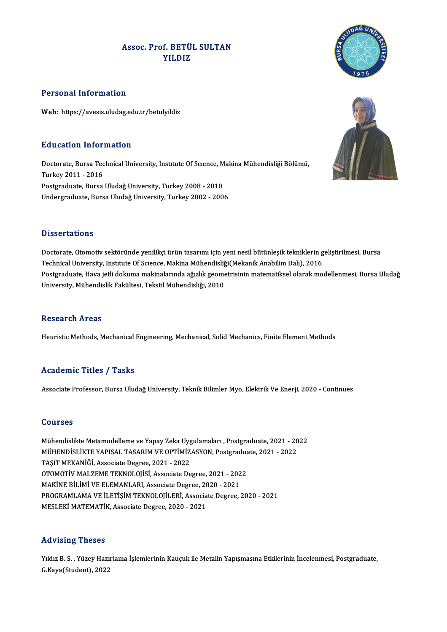## Assoc. Prof. BETÜL SULTAN f. BETÜ<br>YILDIZ

### Personal Information

Web: https://avesis.uludag.edu.tr/betulyildiz

### Education Information

**Education Information**<br>Doctorate, Bursa Technical University, Institute Of Science, Makina Mühendisliği Bölümü,<br>Turkey 2011 - 2016 Eu acation Information<br>Doctorate, Bursa Tec<br>Turkey 2011 - 2016<br>Bostavaduate, Bursa Doctorate, Bursa Technical University, Institute Of Science, M<br>Turkey 2011 - 2016<br>Postgraduate, Bursa Uludağ University, Turkey 2008 - 2010<br>Undergraduate Bursa Uludağ University, Turkey 2002 - 200 Turkey 2011 - 2016<br>Postgraduate, Bursa Uludağ University, Turkey 2008 - 2010<br>Undergraduate, Bursa Uludağ University, Turkey 2002 - 2006

### **Dissertations**

Dissertations<br>Doctorate, Otomotiv sektöründe yenilikçi ürün tasarımı için yeni nesil bütünleşik tekniklerin geliştirilmesi, Bursa<br>Teshnisal University Institute Of Scranse, Makina Mühandisliği(Makanik Anabilim Dalı), 2016 D'isser tariems<br>Doctorate, Otomotiv sektöründe yenilikçi ürün tasarımı için yeni nesil bütünleşik tekniklerin g<br>Technical University, Institute Of Science, Makina Mühendisliği(Mekanik Anabilim Dalı), 2016<br>Postaraduata, Hav Doctorate, Otomotiv sektöründe yenilikçi ürün tasarımı için yeni nesil bütünleşik tekniklerin geliştirilmesi, Bursa<br>Technical University, Institute Of Science, Makina Mühendisliği(Mekanik Anabilim Dalı), 2016<br>Postgraduate, Technical University, Institute Of Science, Makina Mühendisliğ<br>Postgraduate, Hava jetli dokuma makinalarında ağızlık geome<br>University, Mühendislik Fakültesi, Tekstil Mühendisliği, 2010 University, Mühendislik Fakültesi, Tekstil Mühendisliği, 2010<br>Research Areas

Heuristic Methods, Mechanical Engineering, Mechanical, Solid Mechanics, Finite Element Methods

### Academic Titles / Tasks

Associate Professor, Bursa Uludağ University, Teknik Bilimler Myo, Elektrik Ve Enerji, 2020 - Continues

### Courses

Courses<br>Mühendislikte Metamodelleme ve Yapay Zeka Uygulamaları , Postgraduate, 2021 - 2022<br>MÜHENDİSLİKTE VARISAL TASARIM VE OPTİMİZASYON Postgraduate, 2021 - 2022 SS&TBES<br>Mühendislikte Metamodelleme ve Yapay Zeka Uygulamaları , Postgraduate, 2021 - 20<br>MÜHENDİSLİKTE YAPISAL TASARIM VE OPTİMİZASYON, Postgraduate, 2021 - 2022 Mühendislikte Metamodelleme ve Yapay Zeka Uyg<br>MÜHENDİSLİKTE YAPISAL TASARIM VE OPTİMİZ<br>TAŞIT MEKANİĞİ, Associate Degree, 2021 - 2022<br>OTOMOTİV MALZEME TEKNOLOJİSİ, Assosiate De MÜHENDİSLİKTE YAPISAL TASARIM VE OPTİMİZASYON, Postgradua<br>TAŞIT MEKANİĞİ, Associate Degree, 2021 - 2022<br>OTOMOTİV MALZEME TEKNOLOJİSİ, Associate Degree, 2021 - 2022<br>MAKİNE BİLİMİ VE ELEMANLARL Associate Degree, 2020 - 2021 TAŞIT MEKANİĞİ, Associate Degree, 2021 - 2022<br>OTOMOTİV MALZEME TEKNOLOJİSİ, Associate Degree, 2021 - 202<br>MAKİNE BİLİMİ VE ELEMANLARI, Associate Degree, 2020 - 2021<br>PROCRAMI AMA VE İLETİSİM TEKNOLOJİLERİ, Associate Degree OTOMOTİV MALZEME TEKNOLOJİSİ, Associate Degree, 2021 - 2022<br>MAKİNE BİLİMİ VE ELEMANLARI, Associate Degree, 2020 - 2021<br>PROGRAMLAMA VE İLETİŞİM TEKNOLOJİLERİ, Associate Degree, 2020 - 2021<br>MESLEKİ MATEMATİK, Associate Degre MAKİNE BİLİMİ VE ELEMANLARI, Associate Degree, 20<br>PROGRAMLAMA VE İLETİŞİM TEKNOLOJİLERİ, Associa<br>MESLEKİ MATEMATİK, Associate Degree, 2020 - 2021

### Advising Theses

Yıldız B.S., Yüzey Hazırlama İşlemlerinin Kauçuk ile Metalin Yapışmasına Etkilerinin İncelenmesi, Postgraduate, G.Kaya(Student),2022



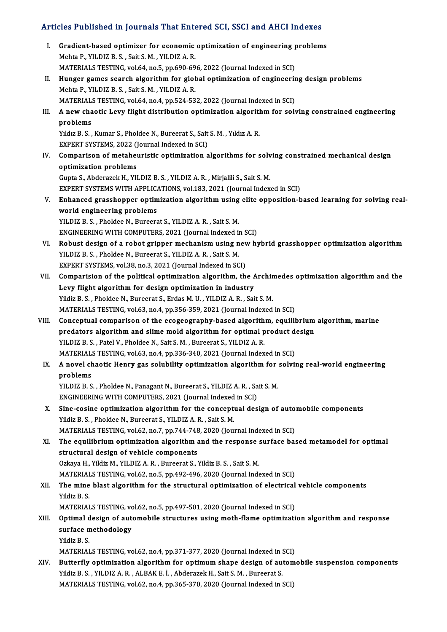# Articles Published in Journals That Entered SCI, SSCI and AHCI Indexes

|       | Articles Published in Journals That Entered SCI, SSCI and AHCI Indexes                                                                        |
|-------|-----------------------------------------------------------------------------------------------------------------------------------------------|
| L     | Gradient-based optimizer for economic optimization of engineering problems<br>Mehta P., YILDIZ B. S., Sait S. M., YILDIZ A. R.                |
|       | MATERIALS TESTING, vol.64, no.5, pp.690-696, 2022 (Journal Indexed in SCI)                                                                    |
| Н.    | Hunger games search algorithm for global optimization of engineering design problems                                                          |
|       | Mehta P., YILDIZ B. S., Sait S. M., YILDIZ A. R.                                                                                              |
|       | MATERIALS TESTING, vol.64, no.4, pp.524-532, 2022 (Journal Indexed in SCI)                                                                    |
| III.  | A new chaotic Levy flight distribution optimization algorithm for solving constrained engineering                                             |
|       | problems                                                                                                                                      |
|       | Yıldız B. S., Kumar S., Pholdee N., Bureerat S., Sait S. M., Yıldız A. R.                                                                     |
|       | EXPERT SYSTEMS, 2022 (Journal Indexed in SCI)                                                                                                 |
| IV.   | Comparison of metaheuristic optimization algorithms for solving constrained mechanical design                                                 |
|       | optimization problems                                                                                                                         |
|       | Gupta S., Abderazek H., YILDIZ B. S., YILDIZ A. R., Mirjalili S., Sait S. M.                                                                  |
|       | EXPERT SYSTEMS WITH APPLICATIONS, vol.183, 2021 (Journal Indexed in SCI)                                                                      |
| V.    | Enhanced grasshopper optimization algorithm using elite opposition-based learning for solving real-                                           |
|       | world engineering problems                                                                                                                    |
|       | YILDIZ B. S., Pholdee N., Bureerat S., YILDIZ A. R., Sait S. M.<br>ENGINEERING WITH COMPUTERS, 2021 (Journal Indexed in SCI)                  |
| VI.   | Robust design of a robot gripper mechanism using new hybrid grasshopper optimization algorithm                                                |
|       | YILDIZ B. S., Pholdee N., Bureerat S., YILDIZ A. R., Sait S. M.                                                                               |
|       | EXPERT SYSTEMS, vol.38, no.3, 2021 (Journal Indexed in SCI)                                                                                   |
| VII.  | Comparision of the political optimization algorithm, the Archimedes optimization algorithm and the                                            |
|       | Levy flight algorithm for design optimization in industry                                                                                     |
|       | Yildiz B. S., Pholdee N., Bureerat S., Erdas M. U., YILDIZ A. R., Sait S. M.                                                                  |
|       | MATERIALS TESTING, vol.63, no.4, pp.356-359, 2021 (Journal Indexed in SCI)                                                                    |
| VIII. | Conceptual comparison of the ecogeography-based algorithm, equilibrium algorithm, marine                                                      |
|       | predators algorithm and slime mold algorithm for optimal product design                                                                       |
|       | YILDIZ B. S., Patel V., Pholdee N., Sait S. M., Bureerat S., YILDIZ A. R.                                                                     |
|       | MATERIALS TESTING, vol.63, no.4, pp.336-340, 2021 (Journal Indexed in SCI)                                                                    |
| IX.   | A novel chaotic Henry gas solubility optimization algorithm for solving real-world engineering                                                |
|       | problems                                                                                                                                      |
|       | YILDIZ B. S., Pholdee N., Panagant N., Bureerat S., YILDIZ A. R., Sait S. M.                                                                  |
|       | ENGINEERING WITH COMPUTERS, 2021 (Journal Indexed in SCI)                                                                                     |
| X.    | Sine-cosine optimization algorithm for the conceptual design of automobile components                                                         |
|       | Yildiz B. S., Pholdee N., Bureerat S., YILDIZ A. R., Sait S. M.<br>MATERIALS TESTING, vol.62, no.7, pp.744-748, 2020 (Journal Indexed in SCI) |
| XI.   | The equilibrium optimization algorithm and the response surface based metamodel for optimal                                                   |
|       | structural design of vehicle components                                                                                                       |
|       | Ozkaya H., Yildiz M., YILDIZ A. R., Bureerat S., Yildiz B. S., Sait S. M.                                                                     |
|       | MATERIALS TESTING, vol.62, no.5, pp.492-496, 2020 (Journal Indexed in SCI)                                                                    |
| XII.  | The mine blast algorithm for the structural optimization of electrical vehicle components                                                     |
|       | Yildiz B S                                                                                                                                    |
|       | MATERIALS TESTING, vol.62, no.5, pp.497-501, 2020 (Journal Indexed in SCI)                                                                    |
| XIII. | Optimal design of automobile structures using moth-flame optimization algorithm and response                                                  |
|       | surface methodology                                                                                                                           |
|       | Yildiz B.S.                                                                                                                                   |
|       | MATERIALS TESTING, vol.62, no.4, pp.371-377, 2020 (Journal Indexed in SCI)                                                                    |
| XIV.  | Butterfly optimization algorithm for optimum shape design of automobile suspension components                                                 |
|       | Yildiz B. S., YILDIZ A. R., ALBAK E. İ., Abderazek H., Sait S. M., Bureerat S.                                                                |
|       | MATERIALS TESTING, vol.62, no.4, pp.365-370, 2020 (Journal Indexed in SCI)                                                                    |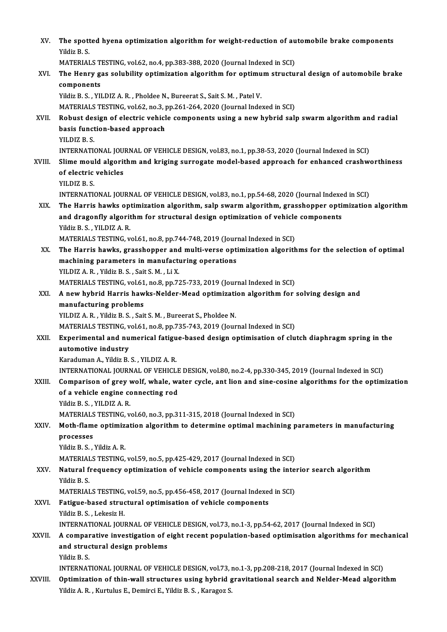| XV.     | The spotted hyena optimization algorithm for weight-reduction of automobile brake components                                |
|---------|-----------------------------------------------------------------------------------------------------------------------------|
|         | Yildiz B.S.                                                                                                                 |
|         | MATERIALS TESTING, vol.62, no.4, pp.383-388, 2020 (Journal Indexed in SCI)                                                  |
| XVI.    | The Henry gas solubility optimization algorithm for optimum structural design of automobile brake                           |
|         | components                                                                                                                  |
|         | Yildiz B. S., YILDIZ A. R., Pholdee N., Bureerat S., Sait S. M., Patel V.                                                   |
|         | MATERIALS TESTING, vol.62, no.3, pp.261-264, 2020 (Journal Indexed in SCI)                                                  |
| XVII.   | Robust design of electric vehicle components using a new hybrid salp swarm algorithm and radial                             |
|         | basis function-based approach                                                                                               |
|         | YILDIZ B.S.                                                                                                                 |
|         | INTERNATIONAL JOURNAL OF VEHICLE DESIGN, vol.83, no.1, pp.38-53, 2020 (Journal Indexed in SCI)                              |
| XVIII.  | Slime mould algorithm and kriging surrogate model-based approach for enhanced crashworthiness                               |
|         | of electric vehicles                                                                                                        |
|         | YILDIZ B.S.                                                                                                                 |
|         | INTERNATIONAL JOURNAL OF VEHICLE DESIGN, vol.83, no.1, pp.54-68, 2020 (Journal Indexed in SCI)                              |
| XIX.    | The Harris hawks optimization algorithm, salp swarm algorithm, grasshopper optimization algorithm                           |
|         | and dragonfly algorithm for structural design optimization of vehicle components                                            |
|         | Yildiz B. S., YILDIZ A. R.                                                                                                  |
|         | MATERIALS TESTING, vol.61, no.8, pp.744-748, 2019 (Journal Indexed in SCI)                                                  |
| XX.     | The Harris hawks, grasshopper and multi-verse optimization algorithms for the selection of optimal                          |
|         | machining parameters in manufacturing operations                                                                            |
|         | YILDIZ A. R., Yildiz B. S., Sait S. M., Li X.<br>MATERIALS TESTING, vol.61, no.8, pp.725-733, 2019 (Journal Indexed in SCI) |
| XXI.    | A new hybrid Harris hawks-Nelder-Mead optimization algorithm for solving design and                                         |
|         | manufacturing problems                                                                                                      |
|         | YILDIZ A. R., Yildiz B. S., Sait S. M., Bureerat S., Pholdee N.                                                             |
|         | MATERIALS TESTING, vol.61, no.8, pp.735-743, 2019 (Journal Indexed in SCI)                                                  |
| XXII.   | Experimental and numerical fatigue-based design optimisation of clutch diaphragm spring in the                              |
|         | automotive industry                                                                                                         |
|         | Karaduman A., Yildiz B. S., YILDIZ A. R.                                                                                    |
|         | INTERNATIONAL JOURNAL OF VEHICLE DESIGN, vol.80, no.2-4, pp.330-345, 2019 (Journal Indexed in SCI)                          |
| XXIII.  | Comparison of grey wolf, whale, water cycle, ant lion and sine-cosine algorithms for the optimization                       |
|         | of a vehicle engine connecting rod                                                                                          |
|         | Yildiz B. S., YILDIZ A. R.                                                                                                  |
|         | MATERIALS TESTING, vol.60, no.3, pp.311-315, 2018 (Journal Indexed in SCI)                                                  |
| XXIV.   | Moth-flame optimization algorithm to determine optimal machining parameters in manufacturing                                |
|         | processes<br>Yildiz B. S., Yildiz A. R.                                                                                     |
|         | MATERIALS TESTING, vol.59, no.5, pp.425-429, 2017 (Journal Indexed in SCI)                                                  |
| XXV.    | Natural frequency optimization of vehicle components using the interior search algorithm                                    |
|         | Yildiz B.S.                                                                                                                 |
|         | MATERIALS TESTING, vol.59, no.5, pp.456-458, 2017 (Journal Indexed in SCI)                                                  |
| XXVI.   | Fatigue-based structural optimisation of vehicle components                                                                 |
|         | Yildiz B. S., Lekesiz H.                                                                                                    |
|         | INTERNATIONAL JOURNAL OF VEHICLE DESIGN, vol.73, no.1-3, pp.54-62, 2017 (Journal Indexed in SCI)                            |
| XXVII.  | A comparative investigation of eight recent population-based optimisation algorithms for mechanical                         |
|         | and structural design problems                                                                                              |
|         | Yildiz B.S.                                                                                                                 |
|         | INTERNATIONAL JOURNAL OF VEHICLE DESIGN, vol.73, no.1-3, pp.208-218, 2017 (Journal Indexed in SCI)                          |
| XXVIII. | Optimization of thin-wall structures using hybrid gravitational search and Nelder-Mead algorithm                            |
|         | Yildiz A. R., Kurtulus E., Demirci E., Yildiz B. S., Karagoz S.                                                             |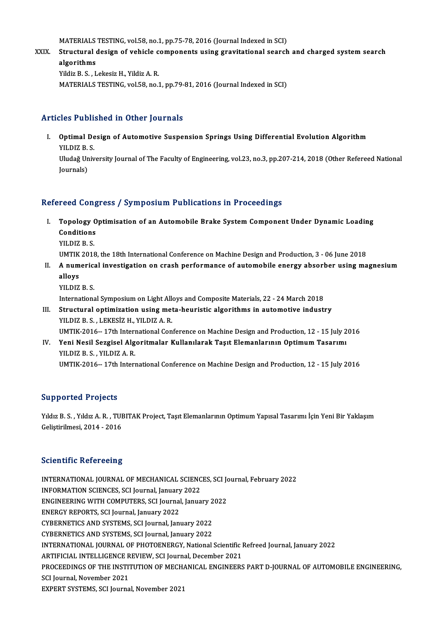MATERIALS TESTING, vol.58, no.1, pp.75-78, 2016 (Journal Indexed in SCI)<br>Structural design of vobials components using gravitational search

XXIX. Structural design of vehicle components using gravitational search and charged systemsearch MATERIALS<br>Structural<br>algorithms<br><sup>Vildir P.S. I</sub></sup> Yildiz B.S., Lekesiz H., Yildiz A.R. MATERIALS TESTING, vol.58, no.1, pp.79-81, 2016 (Journal Indexed in SCI)

### Articles Published in Other Journals

rticles Published in Other Journals<br>I. Optimal Design of Automotive Suspension Springs Using Differential Evolution Algorithm<br>VU DIZ B S SICE I ADIA<br>Optimal De<br>YILDIZ B. S. Optimal Design of Automotive Suspension Springs Using Differential Evolution Algorithm<br>YILDIZ B. S.<br>Uludağ University Journal of The Faculty of Engineering, vol.23, no.3, pp.207-214, 2018 (Other Refereed National<br>Journals)

YILDIZ B.<br>Uludağ Un<br>Journals)

# Journals)<br>Refereed Congress / Symposium Publications in Proceedings

- efereed Congress / Symposium Publications in Proceedings<br>I. Topology Optimisation of an Automobile Brake System Component Under Dynamic Loading<br>Conditions Topology O<br>Topology O<br>Conditions<br>VILDIZ B. S Topology<br>Conditions<br>YILDIZ B. S.<br>UMTIK 2019 Conditions<br>1990 - YILDIZ B. S.<br>UMTIK 2018, the 18th International Conference on Machine Design and Production, 3 - 06 June 2018
	-

- YILDIZ B. S.<br>UMTIK 2018, the 18th International Conference on Machine Design and Production, 3 06 June 2018<br>II. A numerical investigation on crash performance of automobile energy absorber using magnesium<br>allows UMTIK<br><mark>A num</mark><br>vu niz A numerica<br>alloys<br>YILDIZ B. S.<br>Internations alloys<br>YILDIZ B. S.<br>International Symposium on Light Alloys and Composite Materials, 22 - 24 March 2018<br>Structural optimization using meta bouristic algorithms in automotive indust:
	-

- YILDIZ B. S.<br>International Symposium on Light Alloys and Composite Materials, 22 24 March 2018<br>III. Structural optimization using meta-heuristic algorithms in automotive industry<br>YILDIZ B. S. , LEKESIZ H., YILDIZ A. R. International Symposium on Light Allender<br>Structural optimization using met<br>YILDIZ B. S. , LEKESİZ H., YILDIZ A. R.<br>UMTIK 2016 - 17th International Con Structural optimization using meta-heuristic algorithms in automotive industry<br>YILDIZ B. S. , LEKESİZ H., YILDIZ A. R.<br>UMTIK-2016-- 17th International Conference on Machine Design and Production, 12 - 15 July 2016<br>Yoni Nes YILDIZ B. S. , LEKESİZ H., YILDIZ A. R.<br>UMTIK-2016-- 17th International Conference on Machine Design and Production, 12 - 15 July 2<br>IV. Yeni Nesil Sezgisel Algoritmalar Kullanılarak Taşıt Elemanlarının Optimum Tasarımı
- UMTIK-2016-- 17th Intern<br>Yeni Nesil Sezgisel Alg<br>YILDIZ B. S. , YILDIZ A. R.<br>UMTIK 2016 17th Intern IV. Yeni Nesil Sezgisel Algoritmalar Kullanılarak Taşıt Elemanlarının Optimum Tasarımı<br>YILDIZ B. S. , YILDIZ A. R.<br>UMTIK-2016-- 17th International Conference on Machine Design and Production, 12 - 15 July 2016

### Supported Projects

S**upported Projects**<br>Yıldız B. S. , Yıldız A. R. , TUBITAK Project, Taşıt Elemanlarının Optimum Yapısal Tasarımı İçin Yeni Bir Yaklaşım<br>Celistirilmesi, 2014, , 2016 Supportou 1195000<br>Yıldız B. S. , Yıldız A. R. , TUE<br>Geliştirilmesi, 2014 - 2016

# Geliștirilmesi, 2014 - 2016<br>Scientific Refereeing

Scientific Refereeing<br>INTERNATIONAL JOURNAL OF MECHANICAL SCIENCES, SCI Journal, February 2022<br>INFORMATION SCIENCES, SCI Journal Journy 2022 BECOMMINE NETETECING<br>INTERNATIONAL JOURNAL OF MECHANICAL SCIENC<br>INFORMATION SCIENCES, SCI Journal, January 2022<br>ENCIMEERING WITH COMBUTERS, SCI Journal Janua INTERNATIONAL JOURNAL OF MECHANICAL SCIENCES, SCI Journal, January 2022<br>INFORMATION SCIENCES, SCI Journal, January 2022<br>ENGINEERING WITH COMPUTERS, SCI Journal, January 2022<br>ENEPCY PEPOPTS, SCI Journal January 2022 INFORMATION SCIENCES, SCI Journal, January 2022<br>ENGINEERING WITH COMPUTERS, SCI Journal, January 2022<br>ENERGY REPORTS, SCI Journal, January 2022 ENGINEERING WITH COMPUTERS, SCI Journal, January 2<br>ENERGY REPORTS, SCI Journal, January 2022<br>CYBERNETICS AND SYSTEMS, SCI Journal, January 2022<br>CYBERNETICS AND SYSTEMS, SCI Journal January 2022 ENERGY REPORTS, SCI Journal, January 2022<br>CYBERNETICS AND SYSTEMS, SCI Journal, January 2022<br>CYBERNETICS AND SYSTEMS, SCI Journal, January 2022<br>INTERNATIONAL JOURNAL OF BHOTOENERCY National CYBERNETICS AND SYSTEMS, SCI Journal, January 2022<br>CYBERNETICS AND SYSTEMS, SCI Journal, January 2022<br>INTERNATIONAL JOURNAL OF PHOTOENERGY, National Scientific Refreed Journal, January 2022<br>ARTIEICIAL INTELLICENCE REVIEW, CYBERNETICS AND SYSTEMS, SCI Journal, January 2022<br>INTERNATIONAL JOURNAL OF PHOTOENERGY, National Scientific l<br>ARTIFICIAL INTELLIGENCE REVIEW, SCI Journal, December 2021<br>PROCEEDINCS OF THE INSTITITION OF MECHANICAL ENCINEE INTERNATIONAL JOURNAL OF PHOTOENERGY, National Scientific Refreed Journal, January 2022<br>ARTIFICIAL INTELLIGENCE REVIEW, SCI Journal, December 2021<br>PROCEEDINGS OF THE INSTITUTION OF MECHANICAL ENGINEERS PART D-JOURNAL OF AU ARTIFICIAL INTELLIGENCE R<br>PROCEEDINGS OF THE INSTIT<br>SCI Journal, November 2021<br>EYBERT SYSTEMS SCI Journa PROCEEDINGS OF THE INSTITUTION OF MECH/<br>SCI Journal, November 2021<br>EXPERT SYSTEMS, SCI Journal, November 2021